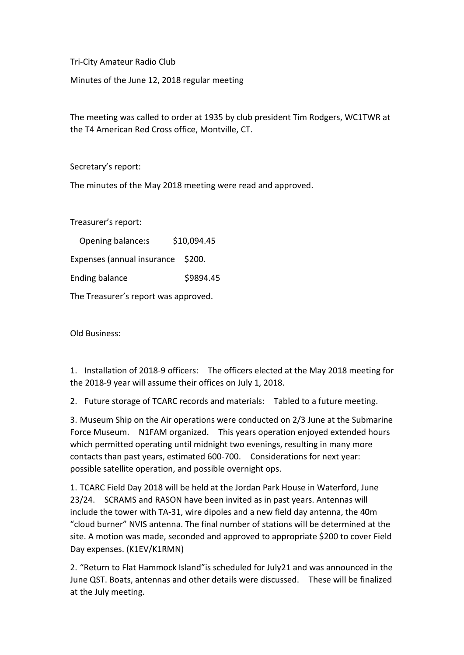Tri-City Amateur Radio Club

Minutes of the June 12, 2018 regular meeting

The meeting was called to order at 1935 by club president Tim Rodgers, WC1TWR at the T4 American Red Cross office, Montville, CT.

Secretary's report:

The minutes of the May 2018 meeting were read and approved.

Treasurer's report:

 Opening balance:s \$10,094.45 Expenses (annual insurance \$200. Ending balance \$9894.45 The Treasurer's report was approved.

Old Business:

1. Installation of 2018-9 officers: The officers elected at the May 2018 meeting for the 2018-9 year will assume their offices on July 1, 2018.

2. Future storage of TCARC records and materials: Tabled to a future meeting.

3. Museum Ship on the Air operations were conducted on 2/3 June at the Submarine Force Museum. N1FAM organized. This years operation enjoyed extended hours which permitted operating until midnight two evenings, resulting in many more contacts than past years, estimated 600-700. Considerations for next year: possible satellite operation, and possible overnight ops.

1. TCARC Field Day 2018 will be held at the Jordan Park House in Waterford, June 23/24. SCRAMS and RASON have been invited as in past years. Antennas will include the tower with TA-31, wire dipoles and a new field day antenna, the 40m "cloud burner" NVIS antenna. The final number of stations will be determined at the site. A motion was made, seconded and approved to appropriate \$200 to cover Field Day expenses. (K1EV/K1RMN)

2. "Return to Flat Hammock Island"is scheduled for July21 and was announced in the June QST. Boats, antennas and other details were discussed. These will be finalized at the July meeting.